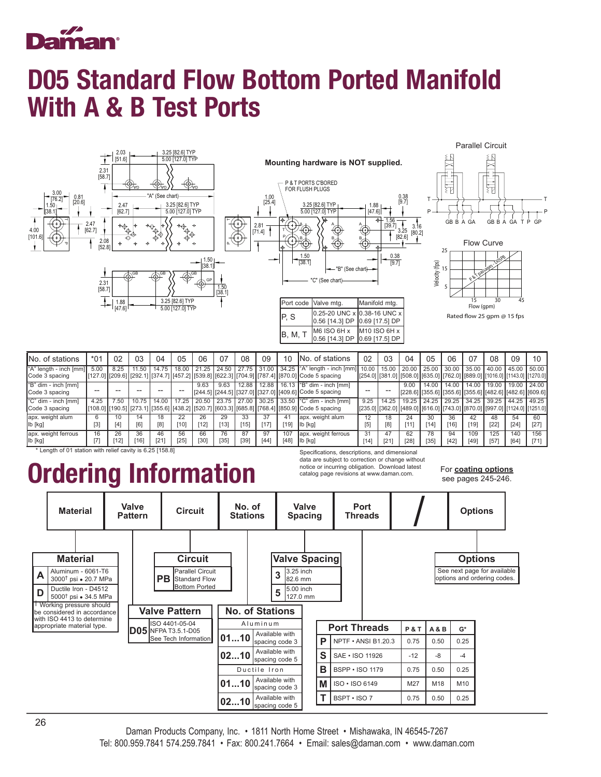

## D05 Standard Flow Bottom Ported Manifold With A & B Test Ports